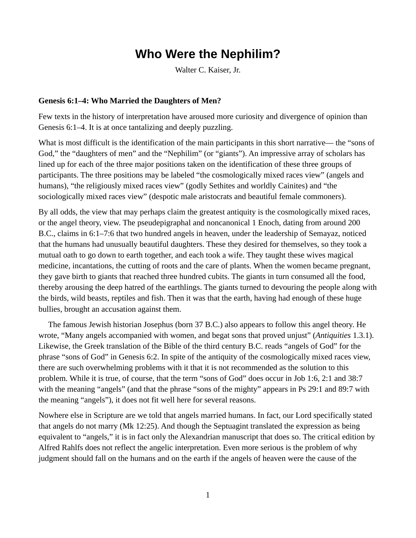## **Who Were the Nephilim?**

Walter C. Kaiser, Jr.

## **Genesis 6:1–4: Who Married the Daughters of Men?**

Few texts in the history of interpretation have aroused more curiosity and divergence of opinion than Genesis 6:1–4. It is at once tantalizing and deeply puzzling.

What is most difficult is the identification of the main participants in this short narrative— the "sons of God," the "daughters of men" and the "Nephilim" (or "giants"). An impressive array of scholars has lined up for each of the three major positions taken on the identification of these three groups of participants. The three positions may be labeled "the cosmologically mixed races view" (angels and humans), "the religiously mixed races view" (godly Sethites and worldly Cainites) and "the sociologically mixed races view" (despotic male aristocrats and beautiful female commoners).

By all odds, the view that may perhaps claim the greatest antiquity is the cosmologically mixed races, or the angel theory, view. The pseudepigraphal and noncanonical 1 Enoch, dating from around 200 B.C., claims in 6:1–7:6 that two hundred angels in heaven, under the leadership of Semayaz, noticed that the humans had unusually beautiful daughters. These they desired for themselves, so they took a mutual oath to go down to earth together, and each took a wife. They taught these wives magical medicine, incantations, the cutting of roots and the care of plants. When the women became pregnant, they gave birth to giants that reached three hundred cubits. The giants in turn consumed all the food, thereby arousing the deep hatred of the earthlings. The giants turned to devouring the people along with the birds, wild beasts, reptiles and fish. Then it was that the earth, having had enough of these huge bullies, brought an accusation against them.

The famous Jewish historian Josephus (born 37 B.C.) also appears to follow this angel theory. He wrote, "Many angels accompanied with women, and begat sons that proved unjust" (*Antiquities* 1.3.1). Likewise, the Greek translation of the Bible of the third century B.C. reads "angels of God" for the phrase "sons of God" in Genesis 6:2. In spite of the antiquity of the cosmologically mixed races view, there are such overwhelming problems with it that it is not recommended as the solution to this problem. While it is true, of course, that the term "sons of God" does occur in Job 1:6, 2:1 and 38:7 with the meaning "angels" (and that the phrase "sons of the mighty" appears in Ps 29:1 and 89:7 with the meaning "angels"), it does not fit well here for several reasons.

Nowhere else in Scripture are we told that angels married humans. In fact, our Lord specifically stated that angels do not marry (Mk 12:25). And though the Septuagint translated the expression as being equivalent to "angels," it is in fact only the Alexandrian manuscript that does so. The critical edition by Alfred Rahlfs does not reflect the angelic interpretation. Even more serious is the problem of why judgment should fall on the humans and on the earth if the angels of heaven were the cause of the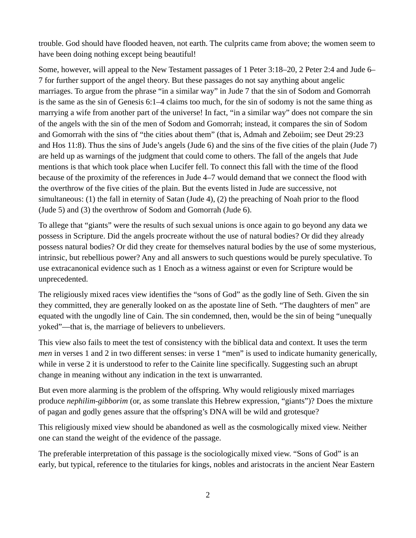trouble. God should have flooded heaven, not earth. The culprits came from above; the women seem to have been doing nothing except being beautiful!

Some, however, will appeal to the New Testament passages of 1 Peter 3:18–20, 2 Peter 2:4 and Jude 6– 7 for further support of the angel theory. But these passages do not say anything about angelic marriages. To argue from the phrase "in a similar way" in Jude 7 that the sin of Sodom and Gomorrah is the same as the sin of Genesis 6:1–4 claims too much, for the sin of sodomy is not the same thing as marrying a wife from another part of the universe! In fact, "in a similar way" does not compare the sin of the angels with the sin of the men of Sodom and Gomorrah; instead, it compares the sin of Sodom and Gomorrah with the sins of "the cities about them" (that is, Admah and Zeboiim; see Deut 29:23 and Hos 11:8). Thus the sins of Jude's angels (Jude 6) and the sins of the five cities of the plain (Jude 7) are held up as warnings of the judgment that could come to others. The fall of the angels that Jude mentions is that which took place when Lucifer fell. To connect this fall with the time of the flood because of the proximity of the references in Jude 4–7 would demand that we connect the flood with the overthrow of the five cities of the plain. But the events listed in Jude are successive, not simultaneous: (1) the fall in eternity of Satan (Jude 4), (2) the preaching of Noah prior to the flood (Jude 5) and (3) the overthrow of Sodom and Gomorrah (Jude 6).

To allege that "giants" were the results of such sexual unions is once again to go beyond any data we possess in Scripture. Did the angels procreate without the use of natural bodies? Or did they already possess natural bodies? Or did they create for themselves natural bodies by the use of some mysterious, intrinsic, but rebellious power? Any and all answers to such questions would be purely speculative. To use extracanonical evidence such as 1 Enoch as a witness against or even for Scripture would be unprecedented.

The religiously mixed races view identifies the "sons of God" as the godly line of Seth. Given the sin they committed, they are generally looked on as the apostate line of Seth. "The daughters of men" are equated with the ungodly line of Cain. The sin condemned, then, would be the sin of being "unequally yoked"—that is, the marriage of believers to unbelievers.

This view also fails to meet the test of consistency with the biblical data and context. It uses the term *men* in verses 1 and 2 in two different senses: in verse 1 "men" is used to indicate humanity generically, while in verse 2 it is understood to refer to the Cainite line specifically. Suggesting such an abrupt change in meaning without any indication in the text is unwarranted.

But even more alarming is the problem of the offspring. Why would religiously mixed marriages produce *nephilim-gibborim* (or, as some translate this Hebrew expression, "giants")? Does the mixture of pagan and godly genes assure that the offspring's DNA will be wild and grotesque?

This religiously mixed view should be abandoned as well as the cosmologically mixed view. Neither one can stand the weight of the evidence of the passage.

The preferable interpretation of this passage is the sociologically mixed view. "Sons of God" is an early, but typical, reference to the titularies for kings, nobles and aristocrats in the ancient Near Eastern